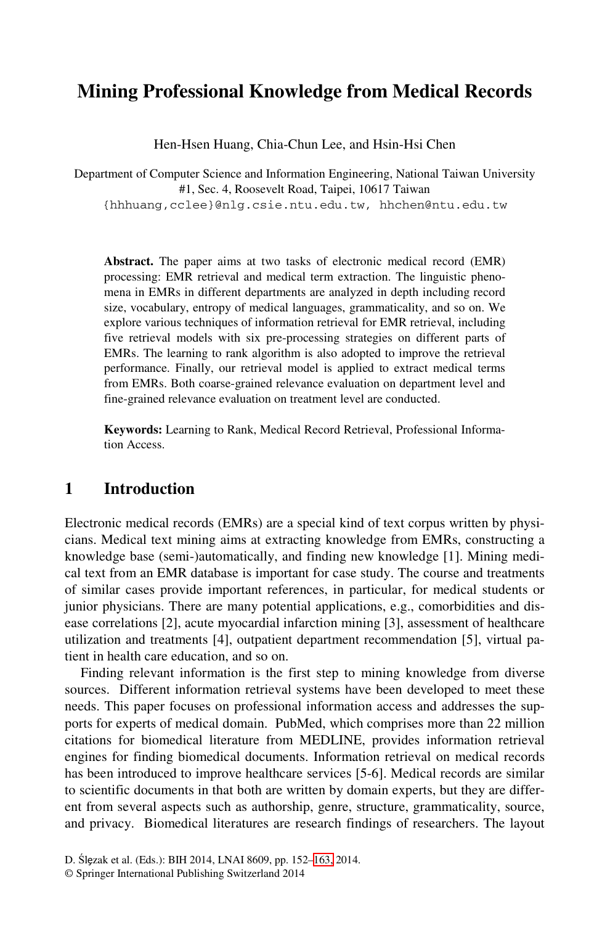# **Mining Professional Knowledge from Medical Records**

Hen-Hsen Huang, Chia-Chun Lee, and Hsin-Hsi Chen

Department of Computer Science and Information Engineering, National Taiwan University #1, Sec. 4, Roosevelt Road, Taipei, 10617 Taiwan {hhhuang,cclee}@nlg.csie.ntu.edu.tw, hhchen@ntu.edu.tw

**Abstract.** The paper aims at two tasks of electronic medical record (EMR) processing: EMR retrieval and medical term extraction. The linguistic phenomena in EMRs in different departments are analyzed in depth including record size, vocabulary, entropy of medical languages, grammaticality, and so on. We explore various techniques of information retrieval for EMR retrieval, including five retrieval models with six pre-processing strategies on different parts of EMRs. The learning to rank algorithm is also adopted to improve the retrieval performance. Finally, our retrieval model is applied to extract medical terms from EMRs. Both coarse-grained relevance evaluation on department level and fine-grained relevance evaluation on treatment level are conducted.

**Keywords:** Learning to Rank, Medical Record Retrieval, Professional Information Access.

#### **1 Introduction**

Electronic medical records (EMRs) are a special kind of text corpus written by physicians. Medical text mining aims at extracting knowledge from EMRs, constructing a knowledge base (semi-)automatically, and finding new knowledge [1]. Mining medical text from an EMR database is important for case study. The course and treatments of similar cases provide important references, in particular, for medical students or junior physicians. There are many potential applications, e.g., comorbidities and disease correlations [2], acute myocardial infarction mining [3], assessment of healthcare utilization and treatments [4], outpatient department recommendation [5], virtual patient in health care education, and so on.

Finding relevant information is the first step to mining knowledge from diverse sources. Different information retrieval systems have been developed to meet these needs. This paper focuses on professional information access and addresses the supports for experts of medi[cal d](#page-11-0)omain. PubMed, which comprises more than 22 million citations for biomedical literature from MEDLINE, provides information retrieval engines for finding biomedical documents. Information retrieval on medical records has been introduced to improve healthcare services [5-6]. Medical records are similar to scientific documents in that both are written by domain experts, but they are different from several aspects such as authorship, genre, structure, grammaticality, source, and privacy. Biomedical literatures are research findings of researchers. The layout

© Springer International Publishing Switzerland 2014

D. Ślȩzak et al. (Eds.): BIH 2014, LNAI 8609, pp. 152–163, 2014.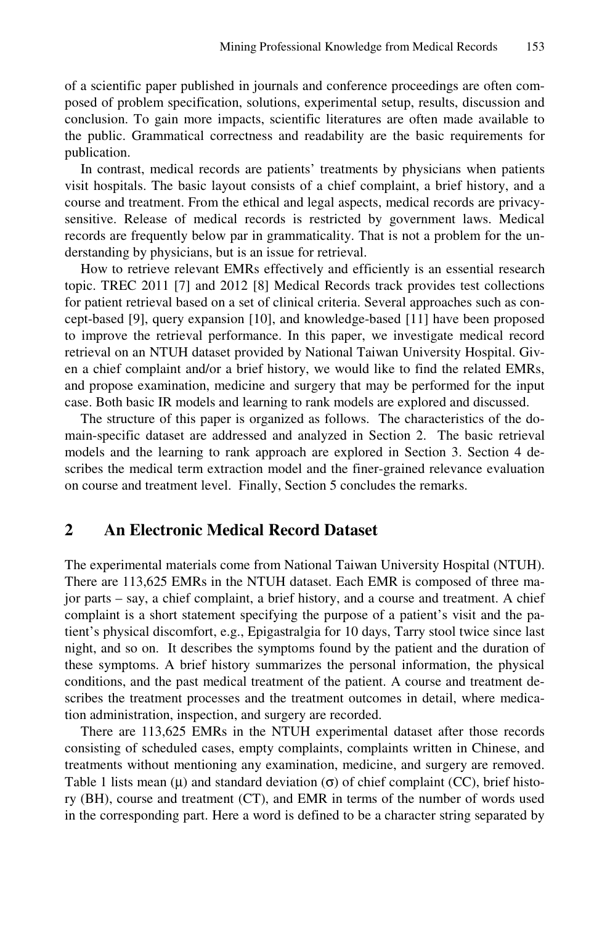of a scientific paper published in journals and conference proceedings are often composed of problem specification, solutions, experimental setup, results, discussion and conclusion. To gain more impacts, scientific literatures are often made available to the public. Grammatical correctness and readability are the basic requirements for publication.

In contrast, medical records are patients' treatments by physicians when patients visit hospitals. The basic layout consists of a chief complaint, a brief history, and a course and treatment. From the ethical and legal aspects, medical records are privacysensitive. Release of medical records is restricted by government laws. Medical records are frequently below par in grammaticality. That is not a problem for the understanding by physicians, but is an issue for retrieval.

How to retrieve relevant EMRs effectively and efficiently is an essential research topic. TREC 2011 [7] and 2012 [8] Medical Records track provides test collections for patient retrieval based on a set of clinical criteria. Several approaches such as concept-based [9], query expansion [10], and knowledge-based [11] have been proposed to improve the retrieval performance. In this paper, we investigate medical record retrieval on an NTUH dataset provided by National Taiwan University Hospital. Given a chief complaint and/or a brief history, we would like to find the related EMRs, and propose examination, medicine and surgery that may be performed for the input case. Both basic IR models and learning to rank models are explored and discussed.

The structure of this paper is organized as follows. The characteristics of the domain-specific dataset are addressed and analyzed in Section 2. The basic retrieval models and the learning to rank approach are explored in Section 3. Section 4 describes the medical term extraction model and the finer-grained relevance evaluation on course and treatment level. Finally, Section 5 concludes the remarks.

### **2 An Electronic Medical Record Dataset**

The experimental materials come from National Taiwan University Hospital (NTUH). There are 113,625 EMRs in the NTUH dataset. Each EMR is composed of three major parts – say, a chief complaint, a brief history, and a course and treatment. A chief complaint is a short statement specifying the purpose of a patient's visit and the patient's physical discomfort, e.g., Epigastralgia for 10 days, Tarry stool twice since last night, and so on. It describes the symptoms found by the patient and the duration of these symptoms. A brief history summarizes the personal information, the physical conditions, and the past medical treatment of the patient. A course and treatment describes the treatment processes and the treatment outcomes in detail, where medication administration, inspection, and surgery are recorded.

There are 113,625 EMRs in the NTUH experimental dataset after those records consisting of scheduled cases, empty complaints, complaints written in Chinese, and treatments without mentioning any examination, medicine, and surgery are removed. Table 1 lists mean  $(\mu)$  and standard deviation  $(\sigma)$  of chief complaint (CC), brief history (BH), course and treatment (CT), and EMR in terms of the number of words used in the corresponding part. Here a word is defined to be a character string separated by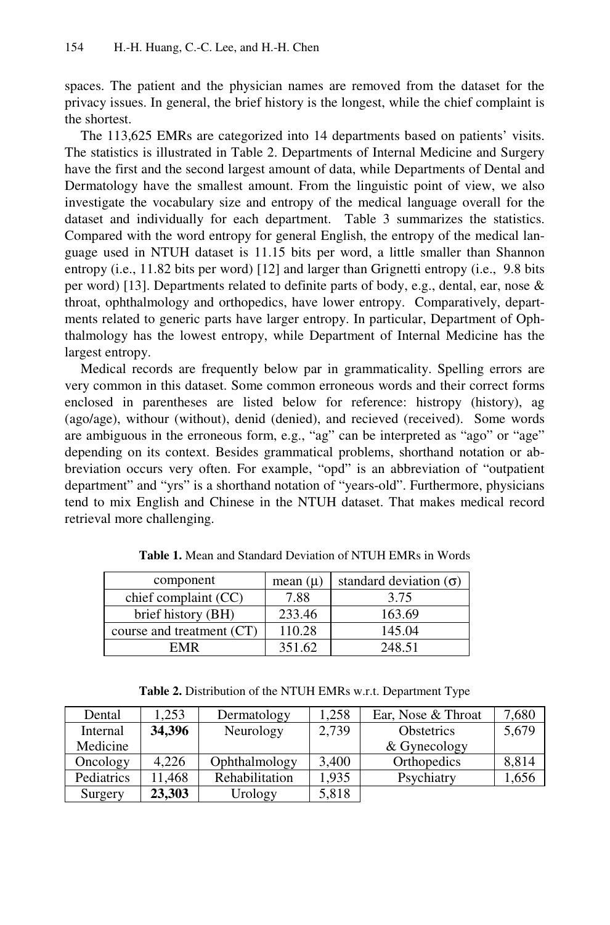spaces. The patient and the physician names are removed from the dataset for the privacy issues. In general, the brief history is the longest, while the chief complaint is the shortest.

The 113,625 EMRs are categorized into 14 departments based on patients' visits. The statistics is illustrated in Table 2. Departments of Internal Medicine and Surgery have the first and the second largest amount of data, while Departments of Dental and Dermatology have the smallest amount. From the linguistic point of view, we also investigate the vocabulary size and entropy of the medical language overall for the dataset and individually for each department. Table 3 summarizes the statistics. Compared with the word entropy for general English, the entropy of the medical language used in NTUH dataset is 11.15 bits per word, a little smaller than Shannon entropy (i.e., 11.82 bits per word) [12] and larger than Grignetti entropy (i.e., 9.8 bits per word) [13]. Departments related to definite parts of body, e.g., dental, ear, nose & throat, ophthalmology and orthopedics, have lower entropy. Comparatively, departments related to generic parts have larger entropy. In particular, Department of Ophthalmology has the lowest entropy, while Department of Internal Medicine has the largest entropy.

Medical records are frequently below par in grammaticality. Spelling errors are very common in this dataset. Some common erroneous words and their correct forms enclosed in parentheses are listed below for reference: histropy (history), ag (ago/age), withour (without), denid (denied), and recieved (received). Some words are ambiguous in the erroneous form, e.g., "ag" can be interpreted as "ago" or "age" depending on its context. Besides grammatical problems, shorthand notation or abbreviation occurs very often. For example, "opd" is an abbreviation of "outpatient department" and "yrs" is a shorthand notation of "years-old". Furthermore, physicians tend to mix English and Chinese in the NTUH dataset. That makes medical record retrieval more challenging.

| component                 | mean $(u)$ | standard deviation $(\sigma)$ |
|---------------------------|------------|-------------------------------|
| chief complaint (CC)      | 7.88       | 3.75                          |
| brief history (BH)        | 233.46     | 163.69                        |
| course and treatment (CT) | 110.28     | 145.04                        |
| EMR.                      | 351.62     | 248.51                        |

**Table 1.** Mean and Standard Deviation of NTUH EMRs in Words

**Table 2.** Distribution of the NTUH EMRs w.r.t. Department Type

| Dental     | 1.253  | Dermatology    | 1.258 | Ear, Nose & Throat | 7,680 |
|------------|--------|----------------|-------|--------------------|-------|
| Internal   | 34,396 | Neurology      | 2,739 | <b>Obstetrics</b>  | 5,679 |
| Medicine   |        |                |       | & Gynecology       |       |
| Oncology   | 4.226  | Ophthalmology  | 3.400 | Orthopedics        | 8.814 |
| Pediatrics | 11.468 | Rehabilitation | 1.935 | Psychiatry         | 1,656 |
| Surgery    | 23,303 | Urology        | 5,818 |                    |       |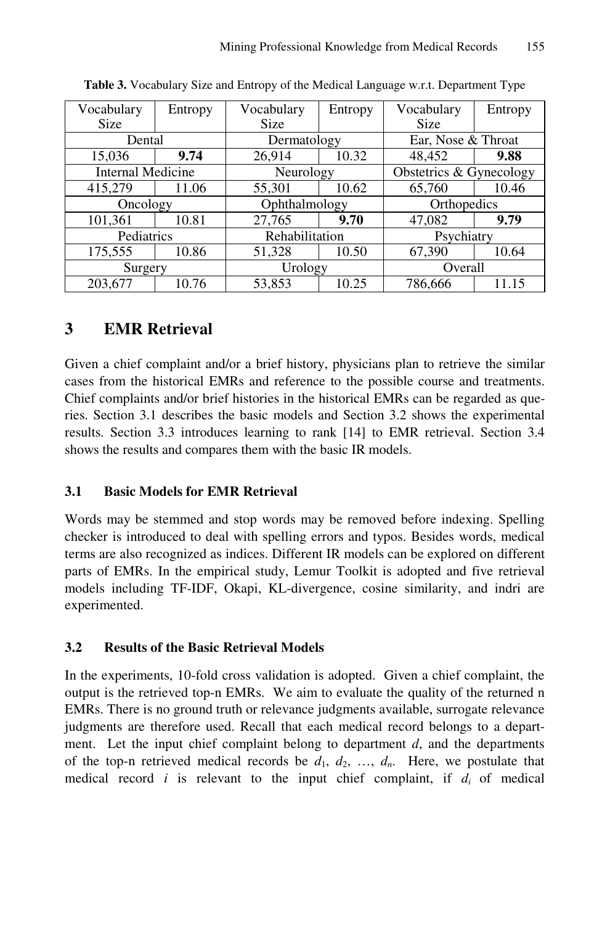| Vocabulary        | Entropy    | Vocabulary    | Entropy        | Vocabulary              | Entropy            |
|-------------------|------------|---------------|----------------|-------------------------|--------------------|
| <b>Size</b>       |            | Size          |                | <b>Size</b>             |                    |
|                   | Dental     |               | Dermatology    |                         | Ear, Nose & Throat |
| 15,036            | 9.74       | 26,914        | 10.32          | 48,452                  | 9.88               |
| Internal Medicine |            | Neurology     |                | Obstetrics & Gynecology |                    |
| 415,279           | 11.06      | 55,301        | 10.62          | 65,760                  | 10.46              |
| Oncology          |            | Ophthalmology |                | Orthopedics             |                    |
| 101,361           | 10.81      | 27,765        | 9.70           | 47,082                  | 9.79               |
|                   | Pediatrics |               | Rehabilitation |                         | Psychiatry         |
| 175,555           | 10.86      | 51,328        | 10.50          | 67,390                  | 10.64              |
|                   | Surgery    |               | Urology        |                         | Overall            |
| 203,677           | 10.76      | 53.853        | 10.25          | 786,666                 | 11.15              |

**Table 3.** Vocabulary Size and Entropy of the Medical Language w.r.t. Department Type

## **3 EMR Retrieval**

Given a chief complaint and/or a brief history, physicians plan to retrieve the similar cases from the historical EMRs and reference to the possible course and treatments. Chief complaints and/or brief histories in the historical EMRs can be regarded as queries. Section 3.1 describes the basic models and Section 3.2 shows the experimental results. Section 3.3 introduces learning to rank [14] to EMR retrieval. Section 3.4 shows the results and compares them with the basic IR models.

## **3.1 Basic Models for EMR Retrieval**

Words may be stemmed and stop words may be removed before indexing. Spelling checker is introduced to deal with spelling errors and typos. Besides words, medical terms are also recognized as indices. Different IR models can be explored on different parts of EMRs. In the empirical study, Lemur Toolkit is adopted and five retrieval models including TF-IDF, Okapi, KL-divergence, cosine similarity, and indri are experimented.

## **3.2 Results of the Basic Retrieval Models**

In the experiments, 10-fold cross validation is adopted. Given a chief complaint, the output is the retrieved top-n EMRs. We aim to evaluate the quality of the returned n EMRs. There is no ground truth or relevance judgments available, surrogate relevance judgments are therefore used. Recall that each medical record belongs to a department. Let the input chief complaint belong to department  $d$ , and the departments of the top-n retrieved medical records be  $d_1, d_2, ..., d_n$ . Here, we postulate that medical record  $i$  is relevant to the input chief complaint, if  $d_i$  of medical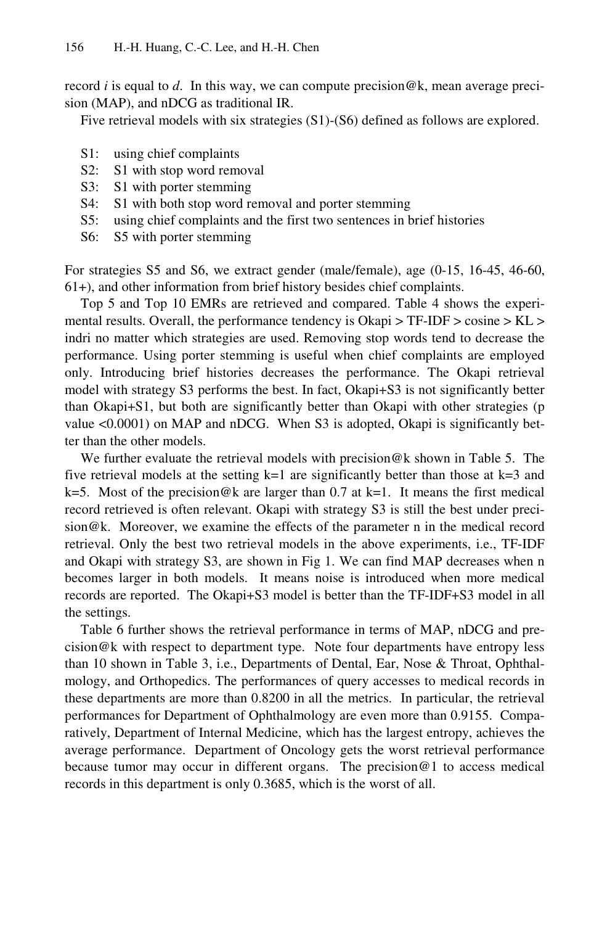record *i* is equal to *d*. In this way, we can compute precision@k, mean average precision (MAP), and nDCG as traditional IR.

Five retrieval models with six strategies (S1)-(S6) defined as follows are explored.

- S1: using chief complaints
- S2: S1 with stop word removal
- S3: S1 with porter stemming
- S4: S1 with both stop word removal and porter stemming
- S5: using chief complaints and the first two sentences in brief histories
- S6: S5 with porter stemming

For strategies S5 and S6, we extract gender (male/female), age (0-15, 16-45, 46-60, 61+), and other information from brief history besides chief complaints.

Top 5 and Top 10 EMRs are retrieved and compared. Table 4 shows the experimental results. Overall, the performance tendency is Okapi  $>$  TF-IDF  $>$  cosine  $>$  KL  $>$ indri no matter which strategies are used. Removing stop words tend to decrease the performance. Using porter stemming is useful when chief complaints are employed only. Introducing brief histories decreases the performance. The Okapi retrieval model with strategy S3 performs the best. In fact, Okapi+S3 is not significantly better than Okapi+S1, but both are significantly better than Okapi with other strategies (p value <0.0001) on MAP and nDCG. When S3 is adopted, Okapi is significantly better than the other models.

We further evaluate the retrieval models with precision@k shown in Table 5. The five retrieval models at the setting  $k=1$  are significantly better than those at  $k=3$  and k=5. Most of the precision@k are larger than 0.7 at k=1. It means the first medical record retrieved is often relevant. Okapi with strategy S3 is still the best under precision@k. Moreover, we examine the effects of the parameter n in the medical record retrieval. Only the best two retrieval models in the above experiments, i.e., TF-IDF and Okapi with strategy S3, are shown in Fig 1. We can find MAP decreases when n becomes larger in both models. It means noise is introduced when more medical records are reported. The Okapi+S3 model is better than the TF-IDF+S3 model in all the settings.

Table 6 further shows the retrieval performance in terms of MAP, nDCG and precision@k with respect to department type. Note four departments have entropy less than 10 shown in Table 3, i.e., Departments of Dental, Ear, Nose & Throat, Ophthalmology, and Orthopedics. The performances of query accesses to medical records in these departments are more than 0.8200 in all the metrics. In particular, the retrieval performances for Department of Ophthalmology are even more than 0.9155. Comparatively, Department of Internal Medicine, which has the largest entropy, achieves the average performance. Department of Oncology gets the worst retrieval performance because tumor may occur in different organs. The precision@1 to access medical records in this department is only 0.3685, which is the worst of all.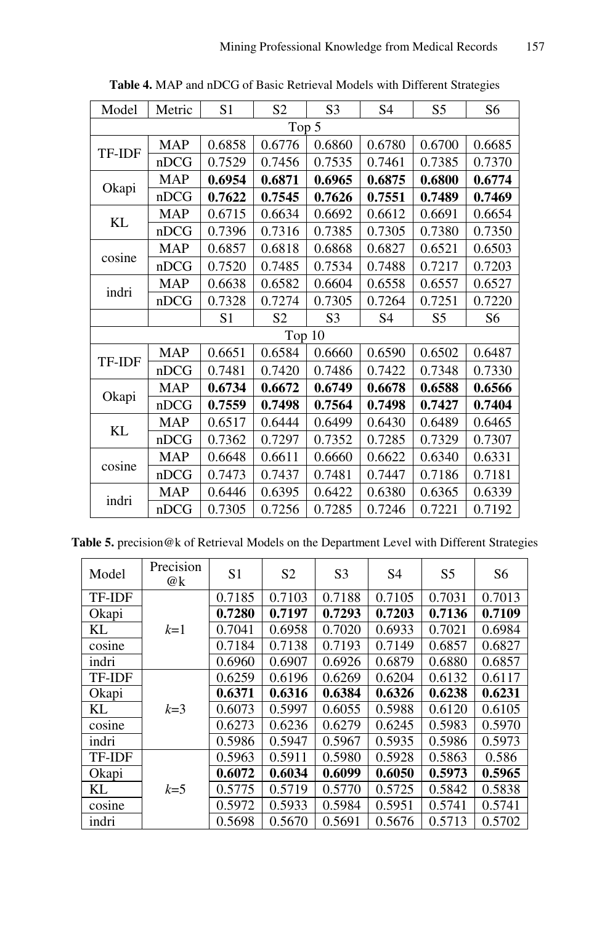| Model  | Metric     | S <sub>1</sub> | S <sub>2</sub> | S <sub>3</sub> | S <sub>4</sub> | S <sub>5</sub> | S <sub>6</sub> |  |  |
|--------|------------|----------------|----------------|----------------|----------------|----------------|----------------|--|--|
| Top 5  |            |                |                |                |                |                |                |  |  |
|        | <b>MAP</b> | 0.6858         | 0.6776         | 0.6860         | 0.6780         | 0.6700         | 0.6685         |  |  |
| TF-IDF | nDCG       | 0.7529         | 0.7456         | 0.7535         | 0.7461         | 0.7385         | 0.7370         |  |  |
|        | <b>MAP</b> | 0.6954         | 0.6871         | 0.6965         | 0.6875         | 0.6800         | 0.6774         |  |  |
| Okapi  | nDCG       | 0.7622         | 0.7545         | 0.7626         | 0.7551         | 0.7489         | 0.7469         |  |  |
| KL     | <b>MAP</b> | 0.6715         | 0.6634         | 0.6692         | 0.6612         | 0.6691         | 0.6654         |  |  |
|        | nDCG       | 0.7396         | 0.7316         | 0.7385         | 0.7305         | 0.7380         | 0.7350         |  |  |
|        | <b>MAP</b> | 0.6857         | 0.6818         | 0.6868         | 0.6827         | 0.6521         | 0.6503         |  |  |
| cosine | nDCG       | 0.7520         | 0.7485         | 0.7534         | 0.7488         | 0.7217         | 0.7203         |  |  |
|        | <b>MAP</b> | 0.6638         | 0.6582         | 0.6604         | 0.6558         | 0.6557         | 0.6527         |  |  |
| indri  | nDCG       | 0.7328         | 0.7274         | 0.7305         | 0.7264         | 0.7251         | 0.7220         |  |  |
|        |            |                |                |                |                |                |                |  |  |
|        |            | S1             | S <sub>2</sub> | S <sub>3</sub> | S4             | S5             | S6             |  |  |
|        |            |                | Top 10         |                |                |                |                |  |  |
|        | <b>MAP</b> | 0.6651         | 0.6584         | 0.6660         | 0.6590         | 0.6502         | 0.6487         |  |  |
| TF-IDF | nDCG       | 0.7481         | 0.7420         | 0.7486         | 0.7422         | 0.7348         | 0.7330         |  |  |
|        | <b>MAP</b> | 0.6734         | 0.6672         | 0.6749         | 0.6678         | 0.6588         | 0.6566         |  |  |
| Okapi  | nDCG       | 0.7559         | 0.7498         | 0.7564         | 0.7498         | 0.7427         | 0.7404         |  |  |
|        | <b>MAP</b> | 0.6517         | 0.6444         | 0.6499         | 0.6430         | 0.6489         | 0.6465         |  |  |
| KL     | nDCG       | 0.7362         | 0.7297         | 0.7352         | 0.7285         | 0.7329         | 0.7307         |  |  |
|        | <b>MAP</b> | 0.6648         | 0.6611         | 0.6660         | 0.6622         | 0.6340         | 0.6331         |  |  |
| cosine | nDCG       | 0.7473         | 0.7437         | 0.7481         | 0.7447         | 0.7186         | 0.7181         |  |  |
| indri  | <b>MAP</b> | 0.6446         | 0.6395         | 0.6422         | 0.6380         | 0.6365         | 0.6339         |  |  |

**Table 4.** MAP and nDCG of Basic Retrieval Models with Different Strategies

**Table 5.** precision@k of Retrieval Models on the Department Level with Different Strategies

| Model         | Precision<br>@k | S <sub>1</sub> | S <sub>2</sub> | S <sub>3</sub> | S <sub>4</sub> | S <sub>5</sub> | S6     |
|---------------|-----------------|----------------|----------------|----------------|----------------|----------------|--------|
| <b>TF-IDF</b> |                 | 0.7185         | 0.7103         | 0.7188         | 0.7105         | 0.7031         | 0.7013 |
| Okapi         |                 | 0.7280         | 0.7197         | 0.7293         | 0.7203         | 0.7136         | 0.7109 |
| KL            | $k=1$           | 0.7041         | 0.6958         | 0.7020         | 0.6933         | 0.7021         | 0.6984 |
| cosine        |                 | 0.7184         | 0.7138         | 0.7193         | 0.7149         | 0.6857         | 0.6827 |
| indri         |                 | 0.6960         | 0.6907         | 0.6926         | 0.6879         | 0.6880         | 0.6857 |
| <b>TF-IDF</b> |                 | 0.6259         | 0.6196         | 0.6269         | 0.6204         | 0.6132         | 0.6117 |
| Okapi         |                 | 0.6371         | 0.6316         | 0.6384         | 0.6326         | 0.6238         | 0.6231 |
| KL            | $k=3$           | 0.6073         | 0.5997         | 0.6055         | 0.5988         | 0.6120         | 0.6105 |
| cosine        |                 | 0.6273         | 0.6236         | 0.6279         | 0.6245         | 0.5983         | 0.5970 |
| indri         |                 | 0.5986         | 0.5947         | 0.5967         | 0.5935         | 0.5986         | 0.5973 |
| <b>TF-IDF</b> |                 | 0.5963         | 0.5911         | 0.5980         | 0.5928         | 0.5863         | 0.586  |
| Okapi         |                 | 0.6072         | 0.6034         | 0.6099         | 0.6050         | 0.5973         | 0.5965 |
| KL            | $k=5$           | 0.5775         | 0.5719         | 0.5770         | 0.5725         | 0.5842         | 0.5838 |
| cosine        |                 | 0.5972         | 0.5933         | 0.5984         | 0.5951         | 0.5741         | 0.5741 |
| indri         |                 | 0.5698         | 0.5670         | 0.5691         | 0.5676         | 0.5713         | 0.5702 |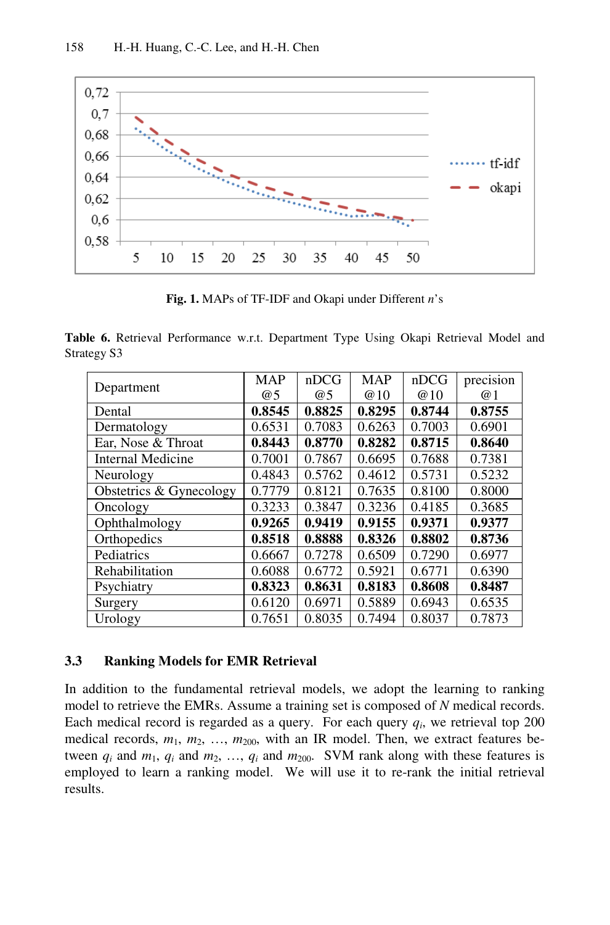

**Fig. 1.** MAPs of TF-IDF and Okapi under Different *n*'s

**Table 6.** Retrieval Performance w.r.t. Department Type Using Okapi Retrieval Model and Strategy S3

|                         | <b>MAP</b> | nDCG   | <b>MAP</b> | nDCG   | precision |
|-------------------------|------------|--------|------------|--------|-----------|
| Department              | @5         | @5     | @10        | @10    | @1        |
| Dental                  | 0.8545     | 0.8825 | 0.8295     | 0.8744 | 0.8755    |
| Dermatology             | 0.6531     | 0.7083 | 0.6263     | 0.7003 | 0.6901    |
| Ear, Nose & Throat      | 0.8443     | 0.8770 | 0.8282     | 0.8715 | 0.8640    |
| Internal Medicine       | 0.7001     | 0.7867 | 0.6695     | 0.7688 | 0.7381    |
| Neurology               | 0.4843     | 0.5762 | 0.4612     | 0.5731 | 0.5232    |
| Obstetrics & Gynecology | 0.7779     | 0.8121 | 0.7635     | 0.8100 | 0.8000    |
| Oncology                | 0.3233     | 0.3847 | 0.3236     | 0.4185 | 0.3685    |
| Ophthalmology           | 0.9265     | 0.9419 | 0.9155     | 0.9371 | 0.9377    |
| Orthopedics             | 0.8518     | 0.8888 | 0.8326     | 0.8802 | 0.8736    |
| Pediatrics              | 0.6667     | 0.7278 | 0.6509     | 0.7290 | 0.6977    |
| Rehabilitation          | 0.6088     | 0.6772 | 0.5921     | 0.6771 | 0.6390    |
| Psychiatry              | 0.8323     | 0.8631 | 0.8183     | 0.8608 | 0.8487    |
| Surgery                 | 0.6120     | 0.6971 | 0.5889     | 0.6943 | 0.6535    |
| Urology                 | 0.7651     | 0.8035 | 0.7494     | 0.8037 | 0.7873    |

#### **3.3 Ranking Models for EMR Retrieval**

In addition to the fundamental retrieval models, we adopt the learning to ranking model to retrieve the EMRs. Assume a training set is composed of *N* medical records. Each medical record is regarded as a query. For each query  $q_i$ , we retrieval top 200 medical records,  $m_1$ ,  $m_2$ , ...,  $m_{200}$ , with an IR model. Then, we extract features between  $q_i$  and  $m_1$ ,  $q_i$  and  $m_2$ , ...,  $q_i$  and  $m_{200}$ . SVM rank along with these features is employed to learn a ranking model. We will use it to re-rank the initial retrieval results.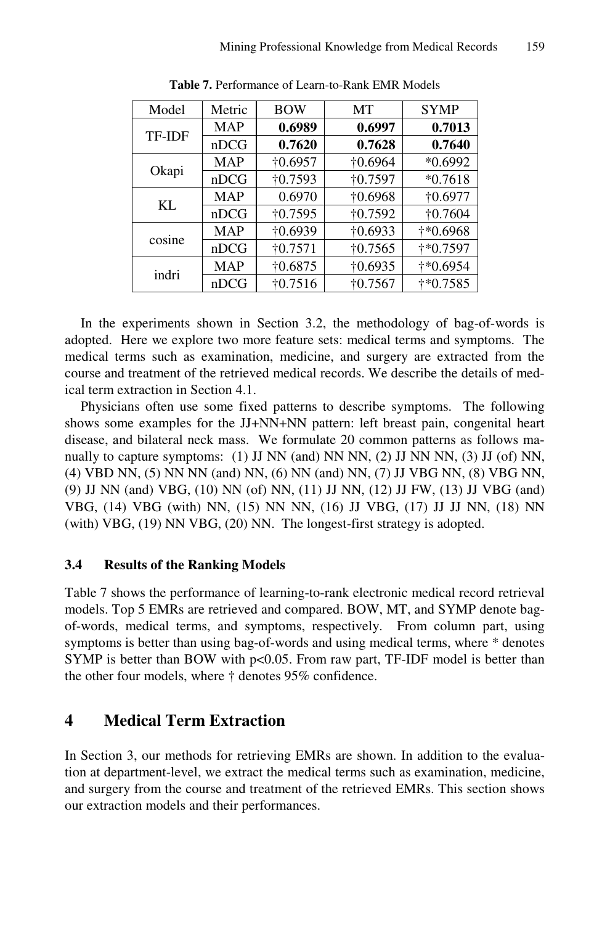| Model         | Metric     | <b>BOW</b>       | MТ               | <b>SYMP</b>      |
|---------------|------------|------------------|------------------|------------------|
| <b>TF-IDF</b> | <b>MAP</b> | 0.6989           | 0.6997           | 0.7013           |
|               | nDCG       | 0.7620           | 0.7628           | 0.7640           |
|               | <b>MAP</b> | $\dagger$ 0.6957 | $\dagger 0.6964$ | $*0.6992$        |
| Okapi         | nDCG       | $\dagger$ 0.7593 | $\dagger$ 0.7597 | $*0.7618$        |
| KL.           | <b>MAP</b> | 0.6970           | $\dagger$ 0.6968 | $\dagger$ 0.6977 |
|               | nDCG       | $\dagger$ 0.7595 | $\dagger$ 0.7592 | $\dagger 0.7604$ |
|               | <b>MAP</b> | $\dagger$ 0.6939 | $\dagger$ 0.6933 | $*0.6968$        |
| cosine        | nDCG       | $\dagger$ 0.7571 | $\dagger$ 0.7565 | $\dagger*0.7597$ |
| indri         | <b>MAP</b> | $\dagger$ 0.6875 | $\dagger$ 0.6935 | $\dagger*0.6954$ |
|               | nDCG       | $\dagger 0.7516$ | $\dagger$ 0.7567 | $+*0.7585$       |

**Table 7.** Performance of Learn-to-Rank EMR Models

In the experiments shown in Section 3.2, the methodology of bag-of-words is adopted. Here we explore two more feature sets: medical terms and symptoms. The medical terms such as examination, medicine, and surgery are extracted from the course and treatment of the retrieved medical records. We describe the details of medical term extraction in Section 4.1.

Physicians often use some fixed patterns to describe symptoms. The following shows some examples for the JJ+NN+NN pattern: left breast pain, congenital heart disease, and bilateral neck mass. We formulate 20 common patterns as follows manually to capture symptoms: (1) JJ NN (and) NN NN, (2) JJ NN NN, (3) JJ (of) NN, (4) VBD NN, (5) NN NN (and) NN, (6) NN (and) NN, (7) JJ VBG NN, (8) VBG NN, (9) JJ NN (and) VBG, (10) NN (of) NN, (11) JJ NN, (12) JJ FW, (13) JJ VBG (and) VBG, (14) VBG (with) NN, (15) NN NN, (16) JJ VBG, (17) JJ JJ NN, (18) NN (with) VBG, (19) NN VBG, (20) NN. The longest-first strategy is adopted.

#### **3.4 Results of the Ranking Models**

Table 7 shows the performance of learning-to-rank electronic medical record retrieval models. Top 5 EMRs are retrieved and compared. BOW, MT, and SYMP denote bagof-words, medical terms, and symptoms, respectively. From column part, using symptoms is better than using bag-of-words and using medical terms, where \* denotes SYMP is better than BOW with p<0.05. From raw part, TF-IDF model is better than the other four models, where † denotes 95% confidence.

## **4 Medical Term Extraction**

In Section 3, our methods for retrieving EMRs are shown. In addition to the evaluation at department-level, we extract the medical terms such as examination, medicine, and surgery from the course and treatment of the retrieved EMRs. This section shows our extraction models and their performances.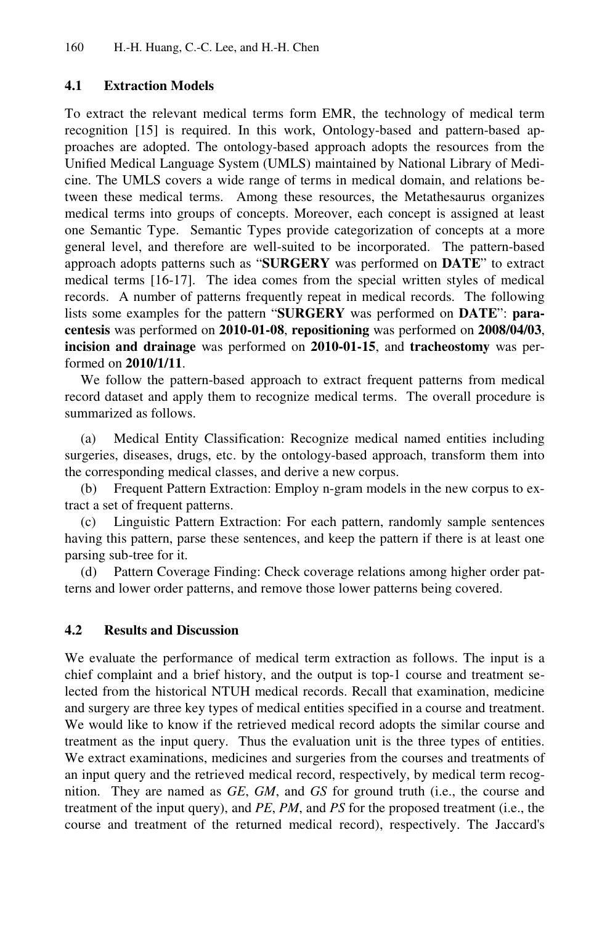#### **4.1 Extraction Models**

To extract the relevant medical terms form EMR, the technology of medical term recognition [15] is required. In this work, Ontology-based and pattern-based approaches are adopted. The ontology-based approach adopts the resources from the Unified Medical Language System (UMLS) maintained by National Library of Medicine. The UMLS covers a wide range of terms in medical domain, and relations between these medical terms. Among these resources, the Metathesaurus organizes medical terms into groups of concepts. Moreover, each concept is assigned at least one Semantic Type. Semantic Types provide categorization of concepts at a more general level, and therefore are well-suited to be incorporated. The pattern-based approach adopts patterns such as "**SURGERY** was performed on **DATE**" to extract medical terms [16-17]. The idea comes from the special written styles of medical records. A number of patterns frequently repeat in medical records. The following lists some examples for the pattern "**SURGERY** was performed on **DATE**": **paracentesis** was performed on **2010-01-08**, **repositioning** was performed on **2008/04/03**, **incision and drainage** was performed on **2010-01-15**, and **tracheostomy** was performed on **2010/1/11**.

We follow the pattern-based approach to extract frequent patterns from medical record dataset and apply them to recognize medical terms. The overall procedure is summarized as follows.

(a) Medical Entity Classification: Recognize medical named entities including surgeries, diseases, drugs, etc. by the ontology-based approach, transform them into the corresponding medical classes, and derive a new corpus.

(b) Frequent Pattern Extraction: Employ n-gram models in the new corpus to extract a set of frequent patterns.

(c) Linguistic Pattern Extraction: For each pattern, randomly sample sentences having this pattern, parse these sentences, and keep the pattern if there is at least one parsing sub-tree for it.

(d) Pattern Coverage Finding: Check coverage relations among higher order patterns and lower order patterns, and remove those lower patterns being covered.

#### **4.2 Results and Discussion**

We evaluate the performance of medical term extraction as follows. The input is a chief complaint and a brief history, and the output is top-1 course and treatment selected from the historical NTUH medical records. Recall that examination, medicine and surgery are three key types of medical entities specified in a course and treatment. We would like to know if the retrieved medical record adopts the similar course and treatment as the input query. Thus the evaluation unit is the three types of entities. We extract examinations, medicines and surgeries from the courses and treatments of an input query and the retrieved medical record, respectively, by medical term recognition. They are named as *GE*, *GM*, and *GS* for ground truth (i.e., the course and treatment of the input query), and *PE*, *PM*, and *PS* for the proposed treatment (i.e., the course and treatment of the returned medical record), respectively. The Jaccard's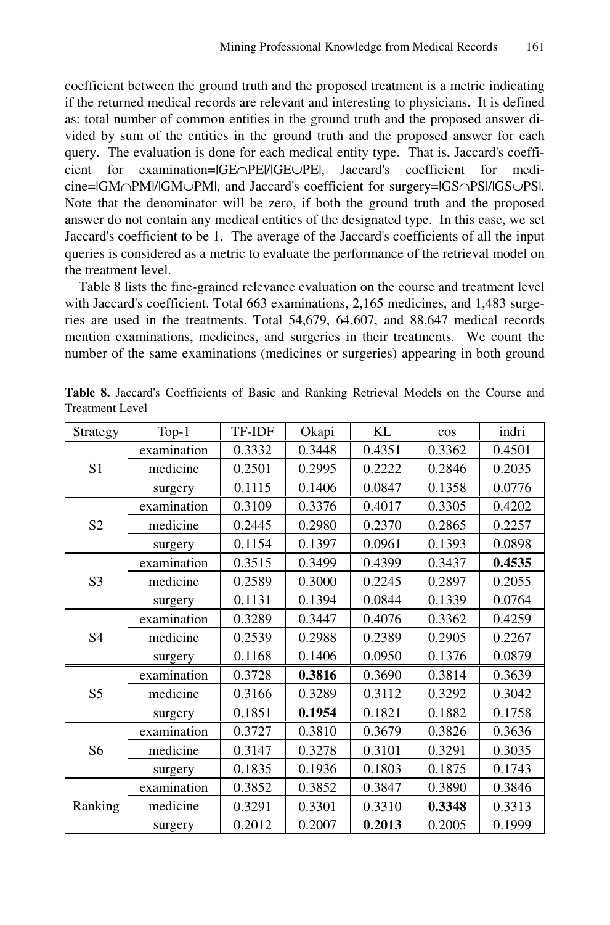coefficient between the ground truth and the proposed treatment is a metric indicating if the returned medical records are relevant and interesting to physicians. It is defined as: total number of common entities in the ground truth and the proposed answer divided by sum of the entities in the ground truth and the proposed answer for each query. The evaluation is done for each medical entity type. That is, Jaccard's coefficient for examination=|GE∩PE|/|GE∪PE|, Jaccard's coefficient for medicine=|GM∩PM|/|GM∪PM|, and Jaccard's coefficient for surgery=|GS∩PS|/|GS∪PS|. Note that the denominator will be zero, if both the ground truth and the proposed answer do not contain any medical entities of the designated type. In this case, we set Jaccard's coefficient to be 1. The average of the Jaccard's coefficients of all the input queries is considered as a metric to evaluate the performance of the retrieval model on the treatment level.

Table 8 lists the fine-grained relevance evaluation on the course and treatment level with Jaccard's coefficient. Total 663 examinations, 2,165 medicines, and 1,483 surgeries are used in the treatments. Total 54,679, 64,607, and 88,647 medical records mention examinations, medicines, and surgeries in their treatments. We count the number of the same examinations (medicines or surgeries) appearing in both ground

| Strategy       | $Top-1$     | TF-IDF | Okapi  | KL     | cos    | indri  |
|----------------|-------------|--------|--------|--------|--------|--------|
|                | examination | 0.3332 | 0.3448 | 0.4351 | 0.3362 | 0.4501 |
| S1             | medicine    | 0.2501 | 0.2995 | 0.2222 | 0.2846 | 0.2035 |
|                | surgery     | 0.1115 | 0.1406 | 0.0847 | 0.1358 | 0.0776 |
|                | examination | 0.3109 | 0.3376 | 0.4017 | 0.3305 | 0.4202 |
| S <sub>2</sub> | medicine    | 0.2445 | 0.2980 | 0.2370 | 0.2865 | 0.2257 |
|                | surgery     | 0.1154 | 0.1397 | 0.0961 | 0.1393 | 0.0898 |
|                | examination | 0.3515 | 0.3499 | 0.4399 | 0.3437 | 0.4535 |
| S <sub>3</sub> | medicine    | 0.2589 | 0.3000 | 0.2245 | 0.2897 | 0.2055 |
|                | surgery     | 0.1131 | 0.1394 | 0.0844 | 0.1339 | 0.0764 |
|                | examination | 0.3289 | 0.3447 | 0.4076 | 0.3362 | 0.4259 |
| S <sub>4</sub> | medicine    | 0.2539 | 0.2988 | 0.2389 | 0.2905 | 0.2267 |
|                | surgery     | 0.1168 | 0.1406 | 0.0950 | 0.1376 | 0.0879 |
|                | examination | 0.3728 | 0.3816 | 0.3690 | 0.3814 | 0.3639 |
| S <sub>5</sub> | medicine    | 0.3166 | 0.3289 | 0.3112 | 0.3292 | 0.3042 |
|                | surgery     | 0.1851 | 0.1954 | 0.1821 | 0.1882 | 0.1758 |
|                | examination | 0.3727 | 0.3810 | 0.3679 | 0.3826 | 0.3636 |
| S <sub>6</sub> | medicine    | 0.3147 | 0.3278 | 0.3101 | 0.3291 | 0.3035 |
|                | surgery     | 0.1835 | 0.1936 | 0.1803 | 0.1875 | 0.1743 |
|                | examination | 0.3852 | 0.3852 | 0.3847 | 0.3890 | 0.3846 |
| Ranking        | medicine    | 0.3291 | 0.3301 | 0.3310 | 0.3348 | 0.3313 |
|                | surgery     | 0.2012 | 0.2007 | 0.2013 | 0.2005 | 0.1999 |

**Table 8.** Jaccard's Coefficients of Basic and Ranking Retrieval Models on the Course and Treatment Level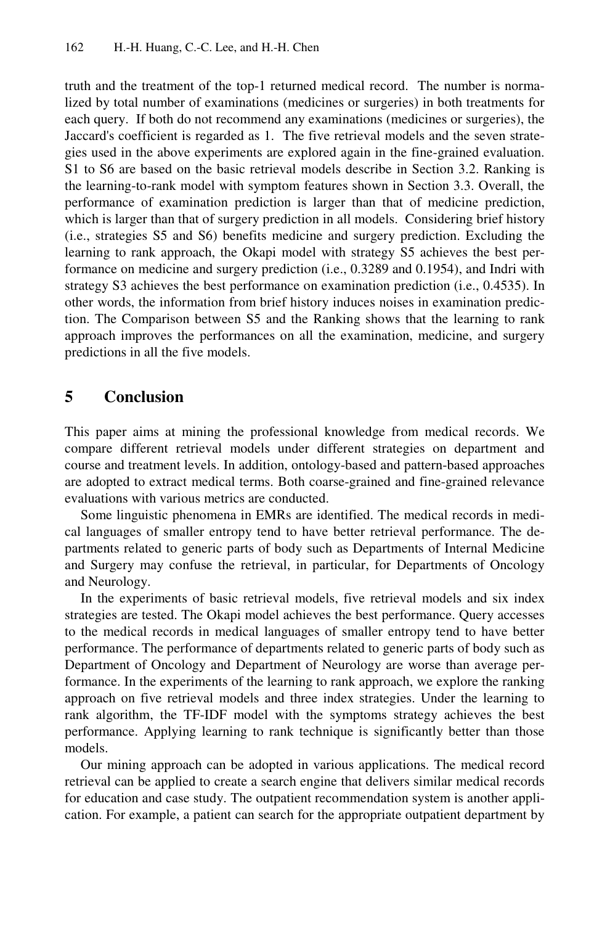truth and the treatment of the top-1 returned medical record. The number is normalized by total number of examinations (medicines or surgeries) in both treatments for each query. If both do not recommend any examinations (medicines or surgeries), the Jaccard's coefficient is regarded as 1. The five retrieval models and the seven strategies used in the above experiments are explored again in the fine-grained evaluation. S1 to S6 are based on the basic retrieval models describe in Section 3.2. Ranking is the learning-to-rank model with symptom features shown in Section 3.3. Overall, the performance of examination prediction is larger than that of medicine prediction, which is larger than that of surgery prediction in all models. Considering brief history (i.e., strategies S5 and S6) benefits medicine and surgery prediction. Excluding the learning to rank approach, the Okapi model with strategy S5 achieves the best performance on medicine and surgery prediction (i.e., 0.3289 and 0.1954), and Indri with strategy S3 achieves the best performance on examination prediction (i.e., 0.4535). In other words, the information from brief history induces noises in examination prediction. The Comparison between S5 and the Ranking shows that the learning to rank approach improves the performances on all the examination, medicine, and surgery predictions in all the five models.

### **5 Conclusion**

This paper aims at mining the professional knowledge from medical records. We compare different retrieval models under different strategies on department and course and treatment levels. In addition, ontology-based and pattern-based approaches are adopted to extract medical terms. Both coarse-grained and fine-grained relevance evaluations with various metrics are conducted.

Some linguistic phenomena in EMRs are identified. The medical records in medical languages of smaller entropy tend to have better retrieval performance. The departments related to generic parts of body such as Departments of Internal Medicine and Surgery may confuse the retrieval, in particular, for Departments of Oncology and Neurology.

In the experiments of basic retrieval models, five retrieval models and six index strategies are tested. The Okapi model achieves the best performance. Query accesses to the medical records in medical languages of smaller entropy tend to have better performance. The performance of departments related to generic parts of body such as Department of Oncology and Department of Neurology are worse than average performance. In the experiments of the learning to rank approach, we explore the ranking approach on five retrieval models and three index strategies. Under the learning to rank algorithm, the TF-IDF model with the symptoms strategy achieves the best performance. Applying learning to rank technique is significantly better than those models.

Our mining approach can be adopted in various applications. The medical record retrieval can be applied to create a search engine that delivers similar medical records for education and case study. The outpatient recommendation system is another application. For example, a patient can search for the appropriate outpatient department by